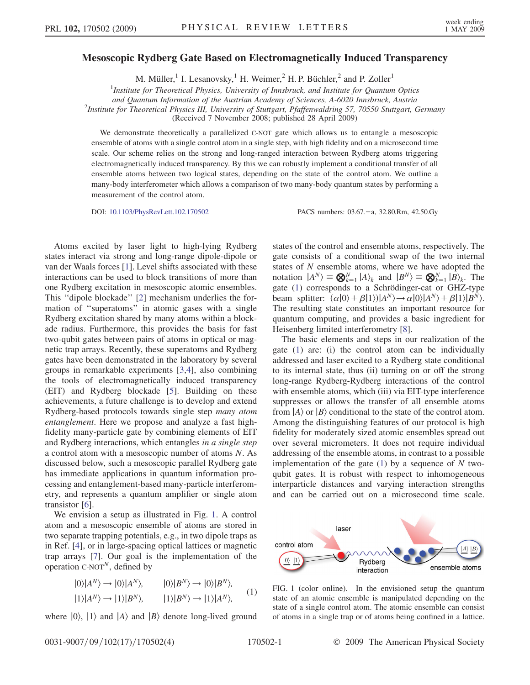## <span id="page-0-1"></span>Mesoscopic Rydberg Gate Based on Electromagnetically Induced Transparency

M. Müller,<sup>1</sup> I. Lesanovsky,<sup>1</sup> H. Weimer,<sup>2</sup> H. P. Büchler,<sup>2</sup> and P. Zoller<sup>1</sup>

<sup>1</sup>Institute for Theoretical Physics, University of Innsbruck, and Institute for Quantum Optics

and Quantum Information of the Austrian Academy of Sciences, A-6020 Innsbruck, Austria <sup>2</sup>

<sup>2</sup>Institute for Theoretical Physics III, University of Stuttgart, Pfaffenwaldring 57, 70550 Stuttgart, Germany

(Received 7 November 2008; published 28 April 2009)

We demonstrate theoretically a parallelized C-NOT gate which allows us to entangle a mesoscopic ensemble of atoms with a single control atom in a single step, with high fidelity and on a microsecond time scale. Our scheme relies on the strong and long-ranged interaction between Rydberg atoms triggering electromagnetically induced transparency. By this we can robustly implement a conditional transfer of all ensemble atoms between two logical states, depending on the state of the control atom. We outline a many-body interferometer which allows a comparison of two many-body quantum states by performing a measurement of the control atom.

DOI: [10.1103/PhysRevLett.102.170502](http://dx.doi.org/10.1103/PhysRevLett.102.170502) PACS numbers: 03.67. - a, 32.80.Rm, 42.50.Gy

Atoms excited by laser light to high-lying Rydberg states interact via strong and long-range dipole-dipole or van der Waals forces [1]. Level shifts associated with these interactions can be used to block transitions of more than one Rydberg excitation in mesoscopic atomic ensembles. This ''dipole blockade'' [2] mechanism underlies the formation of ''superatoms'' in atomic gases with a single Rydberg excitation shared by many atoms within a blockade radius. Furthermore, this provides the basis for fast two-qubit gates between pairs of atoms in optical or magnetic trap arrays. Recently, these superatoms and Rydberg gates have been demonstrated in the laboratory by several groups in remarkable experiments [3,4], also combining the tools of electromagnetically induced transparency (EIT) and Rydberg blockade [5]. Building on these achievements, a future challenge is to develop and extend Rydberg-based protocols towards single step many atom entanglement. Here we propose and analyze a fast highfidelity many-particle gate by combining elements of EIT and Rydberg interactions, which entangles in a single step a control atom with a mesoscopic number of atoms N. As discussed below, such a mesoscopic parallel Rydberg gate has immediate applications in quantum information processing and entanglement-based many-particle interferometry, and represents a quantum amplifier or single atom transistor [6].

We envision a setup as illustrated in Fig. 1. A control atom and a mesoscopic ensemble of atoms are stored in two separate trapping potentials, e.g., in two dipole traps as in Ref. [4], or in large-spacing optical lattices or magnetic trap arrays [7]. Our goal is the implementation of the operation  $C-NOT^N$ , defined by

<span id="page-0-0"></span>
$$
|0\rangle|A^{N}\rangle \rightarrow |0\rangle|A^{N}\rangle, \qquad |0\rangle|B^{N}\rangle \rightarrow |0\rangle|B^{N}\rangle, |1\rangle|A^{N}\rangle \rightarrow |1\rangle|B^{N}\rangle, \qquad |1\rangle|B^{N}\rangle \rightarrow |1\rangle|A^{N}\rangle, \qquad (1)
$$

where  $|0\rangle$ ,  $|1\rangle$  and  $|A\rangle$  and  $|B\rangle$  denote long-lived ground

states of the control and ensemble atoms, respectively. The gate consists of a conditional swap of the two internal states of N ensemble atoms, where we have adopted the notation  $|A^N\rangle = \bigotimes_{k=1}^N |A\rangle_k$  and  $|B^N\rangle = \bigotimes_{k=1}^N |B\rangle_k$ . The gate ([1\)](#page-0-0) corresponds to a Schrödinger-cat or GHZ-type beam splitter:  $(\alpha|0\rangle + \beta|1\rangle)|A^N\rangle \rightarrow \alpha|0\rangle|A^N\rangle + \beta|1\rangle|B^N\rangle.$ The resulting state constitutes an important resource for quantum computing, and provides a basic ingredient for Heisenberg limited interferometry [8].

The basic elements and steps in our realization of the gate ([1\)](#page-0-0) are: (i) the control atom can be individually addressed and laser excited to a Rydberg state conditional to its internal state, thus (ii) turning on or off the strong long-range Rydberg-Rydberg interactions of the control with ensemble atoms, which (iii) via EIT-type interference suppresses or allows the transfer of all ensemble atoms from  $|A\rangle$  or  $|B\rangle$  conditional to the state of the control atom. Among the distinguishing features of our protocol is high fidelity for moderately sized atomic ensembles spread out over several micrometers. It does not require individual addressing of the ensemble atoms, in contrast to a possible implementation of the gate ([1](#page-0-0)) by a sequence of  $N$  twoqubit gates. It is robust with respect to inhomogeneous interparticle distances and varying interaction strengths and can be carried out on a microsecond time scale.



FIG. 1 (color online). In the envisioned setup the quantum state of an atomic ensemble is manipulated depending on the state of a single control atom. The atomic ensemble can consist of atoms in a single trap or of atoms being confined in a lattice.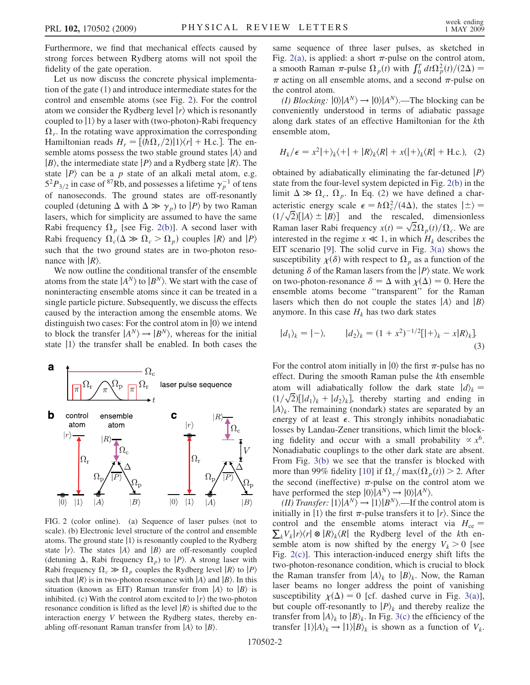Furthermore, we find that mechanical effects caused by strong forces between Rydberg atoms will not spoil the fidelity of the gate operation.

Let us now discuss the concrete physical implementation of the gate ([1\)](#page-0-0) and introduce intermediate states for the control and ensemble atoms (see Fig. 2). For the control atom we consider the Rydberg level  $|r\rangle$  which is resonantly coupled to  $|1\rangle$  by a laser with (two-photon)-Rabi frequency  $\Omega_r$ . In the rotating wave approximation the corresponding Hamiltonian reads  $H_r = \frac{\left[\frac{h\Omega_r}{2}\right]\left[\sqrt{r}\right] + \text{H.c.}}{\text{The en-}}$ semble atoms possess the two stable ground states  $|A\rangle$  and  $|B\rangle$ , the intermediate state  $|P\rangle$  and a Rydberg state  $|R\rangle$ . The state  $|P\rangle$  can be a p state of an alkali metal atom, e.g.  $5<sup>2</sup>P<sub>3/2</sub>$  in case of <sup>87</sup>Rb, and possesses a lifetime  $\gamma_p^{-1}$  of tens of nanoseconds. The ground states are off-resonantly coupled (detuning  $\Delta$  with  $\Delta \gg \gamma_p$ ) to  $|P\rangle$  by two Raman lasers, which for simplicity are assumed to have the same Rabi frequency  $\Omega_p$  [see Fig. 2(b)]. A second laser with Rabi frequency  $\Omega_c(\Delta \gg \Omega_c > \Omega_p)$  couples  $|R\rangle$  and  $|P\rangle$ such that the two ground states are in two-photon resonance with  $|R\rangle$ .

We now outline the conditional transfer of the ensemble atoms from the state  $|A^N\rangle$  to  $|B^N\rangle$ . We start with the case of noninteracting ensemble atoms since it can be treated in a single particle picture. Subsequently, we discuss the effects caused by the interaction among the ensemble atoms. We distinguish two cases: For the control atom in  $|0\rangle$  we intend to block the transfer  $|A^N\rangle \rightarrow |B^N\rangle$ , whereas for the initial state  $|1\rangle$  the transfer shall be enabled. In both cases the



FIG. 2 (color online). (a) Sequence of laser pulses (not to scale). (b) Electronic level structure of the control and ensemble atoms. The ground state  $|1\rangle$  is resonantly coupled to the Rydberg state  $|r\rangle$ . The states  $|A\rangle$  and  $|B\rangle$  are off-resonantly coupled (detuning  $\Delta$ , Rabi frequency  $\Omega_p$ ) to  $|P\rangle$ . A strong laser with Rabi frequency  $\Omega_c \gg \Omega_p$  couples the Rydberg level  $|R\rangle$  to  $|P\rangle$ such that  $|R\rangle$  is in two-photon resonance with  $|A\rangle$  and  $|B\rangle$ . In this situation (known as EIT) Raman transfer from  $|A\rangle$  to  $|B\rangle$  is inhibited. (c) With the control atom excited to  $|r\rangle$  the two-photon resonance condition is lifted as the level  $|R\rangle$  is shifted due to the interaction energy V between the Rydberg states, thereby enabling off-resonant Raman transfer from  $|A\rangle$  to  $|B\rangle$ .

same sequence of three laser pulses, as sketched in Fig. 2(a), is applied: a short  $\pi$ -pulse on the control atom, a smooth Raman  $\pi$ -pulse  $\Omega_p(t)$  with  $\int_0^T dt \Omega_p^2(t)/(2\Delta)$  =  $\pi$  acting on all ensemble atoms, and a second  $\pi$ -pulse on the control atom.

(I) Blocking:  $|0\rangle|A^N\rangle \rightarrow |0\rangle|A^N\rangle$ .—The blocking can be conveniently understood in terms of adiabatic passage along dark states of an effective Hamiltonian for the kth ensemble atom,

<span id="page-1-0"></span>
$$
H_k/\epsilon = x^2|+\rangle_k\langle+| + |R\rangle_k\langle R| + x(|+\rangle_k\langle R| + \text{H.c.}), (2)
$$

obtained by adiabatically eliminating the far-detuned  $|P\rangle$ state from the four-level system depicted in Fig. 2(b) in the limit  $\Delta \gg \Omega_c$ ,  $\Omega_p$ . In Eq. [\(2\)](#page-1-0) we have defined a characteristic energy scale  $\epsilon = \hbar \Omega_c^2/(4\Delta)$ , the states  $|\pm\rangle =$  $(1/\sqrt{2})$ [ $|A\rangle \pm |B\rangle$ ] and the rescaled, dimensionless Raman laser Rabi frequency  $x(t) = \sqrt{2}\Omega_p(t)/\Omega_c$ . We are interested in the regime  $x \ll 1$ , in which  $H_k$  describes the EIT scenario [9]. The solid curve in Fig. [3\(a\)](#page-2-0) shows the susceptibility  $\chi(\delta)$  with respect to  $\Omega_p$  as a function of the detuning  $\delta$  of the Raman lasers from the  $|P\rangle$  state. We work on two-photon-resonance  $\delta = \Delta$  with  $\chi(\Delta) = 0$ . Here the ensemble atoms become ''transparent'' for the Raman lasers which then do not couple the states  $|A\rangle$  and  $|B\rangle$ anymore. In this case  $H_k$  has two dark states

$$
|d_1\rangle_k = |-\rangle, \qquad |d_2\rangle_k = (1+x^2)^{-1/2} [|\!|\!| + \rangle_k - x |R\rangle_k]. \tag{3}
$$

For the control atom initially in  $|0\rangle$  the first  $\pi$ -pulse has no effect. During the smooth Raman pulse the kth ensemble atom will adiabatically follow the dark state  $|d\rangle_k =$  $(1/\sqrt{2})[|d_1\rangle_k + |d_2\rangle_k]$ , thereby starting and ending in  $|A\rangle_k$ . The remaining (nondark) states are separated by an energy of at least  $\epsilon$ . This strongly inhibits nonadiabatic losses by Landau-Zener transitions, which limit the blocking fidelity and occur with a small probability  $\propto x^6$ . Nonadiabatic couplings to the other dark state are absent. From Fig. [3\(b\)](#page-2-0) we see that the transfer is blocked with more than 99% fidelity [10] if  $\Omega_c / \max(\Omega_p(t)) > 2$ . After the second (ineffective)  $\pi$ -pulse on the control atom we have performed the step  $|0\rangle|A^N\rangle \rightarrow |0\rangle|A^N\rangle$ .

(II) Transfer:  $|1\rangle|A^N\rangle \rightarrow |1\rangle|B^N\rangle$ .—If the control atom is initially in |1) the first  $\pi$ -pulse transfers it to |*r*). Since the control and the ensemble atoms interact via  $H_{ce}$ control and the ensemble atoms interact via  $H_{ce} = \sum_{k} V_k |r\rangle\langle r| \otimes |R\rangle_k\langle R|$  the Rydberg level of the kth ensemble atom is now shifted by the energy  $V_k > 0$  [see Fig.  $2(c)$ ]. This interaction-induced energy shift lifts the two-photon-resonance condition, which is crucial to block the Raman transfer from  $|A\rangle_k$  to  $|B\rangle_k$ . Now, the Raman laser beams no longer address the point of vanishing susceptibility  $\chi(\Delta) = 0$  [cf. dashed curve in Fig. [3\(a\)\]](#page-2-0), but couple off-resonantly to  $|P\rangle_k$  and thereby realize the transfer from  $|A\rangle_k$  to  $|B\rangle_k$ . In Fig. [3\(c\)](#page-2-0) the efficiency of the transfer  $|1\rangle|A\rangle_k \rightarrow |1\rangle|B\rangle_k$  is shown as a function of  $V_k$ .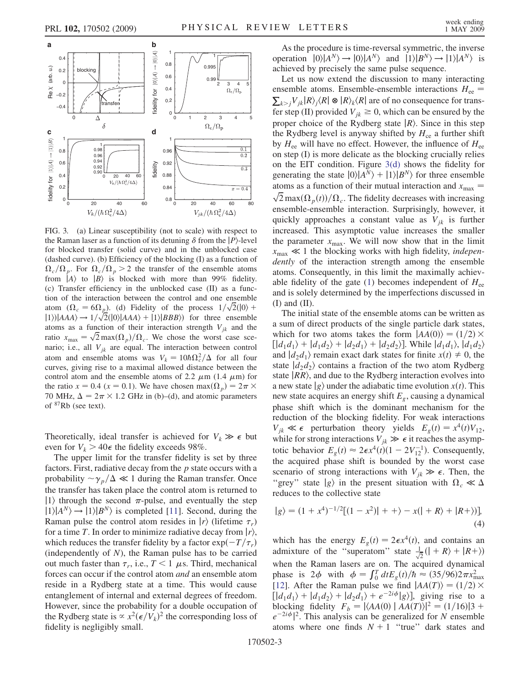<span id="page-2-0"></span>

FIG. 3. (a) Linear susceptibility (not to scale) with respect to the Raman laser as a function of its detuning  $\delta$  from the  $|P\rangle$ -level for blocked transfer (solid curve) and in the unblocked case (dashed curve). (b) Efficiency of the blocking (I) as a function of  $\Omega_c/\Omega_p$ . For  $\Omega_c/\Omega_p > 2$  the transfer of the ensemble atoms from  $|A\rangle$  to  $|B\rangle$  is blocked with more than 99% fidelity. (c) Transfer efficiency in the unblocked case (II) as a function of the interaction between the control and one ensemble atom ( $\Omega_c = 6\Omega_p$ ). (d) Fidelity of the process  $1/\sqrt{2}(10)$  +  $|1\rangle$ |AAA $\rangle \rightarrow 1/\sqrt{2}(|0\rangle|AAA\rangle + |1\rangle|BBB\rangle)$  for three ensemble atoms as a function of their interaction strength  $V_{jk}$  and the ratio  $x_{\text{max}} = \sqrt{2} \max(\Omega_p) / \Omega_c$ . We chose the worst case scenario; i.e., all  $V_{jk}$  are equal. The interaction between control atom and ensemble atoms was  $V_k = 10\hbar\Omega_c^2/\Delta$  for all four curves, giving rise to a maximal allowed distance between the control atom and the ensemble atoms of 2.2  $\mu$ m (1.4  $\mu$ m) for the ratio  $x = 0.4$  ( $x = 0.1$ ). We have chosen max $(\Omega_p) = 2\pi \times$ 70 MHz,  $\Delta = 2\pi \times 1.2$  GHz in (b)–(d), and atomic parameters of 87Rb (see text).

Theoretically, ideal transfer is achieved for  $V_k \gg \epsilon$  but even for  $V_k > 40\epsilon$  the fidelity exceeds 98%.

The upper limit for the transfer fidelity is set by three factors. First, radiative decay from the  $p$  state occurs with a probability  $\sim \gamma_p/\Delta \ll 1$  during the Raman transfer. Once the transfer has taken place the control atom is returned to  $|1\rangle$  through the second  $\pi$ -pulse, and eventually the step  $|1\rangle|A^N\rangle \rightarrow |1\rangle|B^N\rangle$  is completed [11]. Second, during the Raman pulse the control atom resides in  $|r\rangle$  (lifetime  $\tau_r$ ) for a time T. In order to minimize radiative decay from  $|r\rangle$ , which reduces the transfer fidelity by a factor  $\exp(-T/\tau_r)$ (independently of  $N$ ), the Raman pulse has to be carried out much faster than  $\tau_r$ , i.e.,  $T < 1 \mu s$ . Third, mechanical forces can occur if the control atom and an ensemble atom reside in a Rydberg state at a time. This would cause entanglement of internal and external degrees of freedom. However, since the probability for a double occupation of the Rydberg state is  $\propto x^2(\epsilon/V_k)^2$  the corresponding loss of fidelity is negligibly small.

As the procedure is time-reversal symmetric, the inverse operation  $|0\rangle|A^N\rangle \rightarrow |0\rangle|A^N\rangle$  and  $|1\rangle|B^N\rangle \rightarrow |1\rangle|A^N\rangle$  is achieved by precisely the same pulse sequence.

Let us now extend the discussion to many interacting ensemble atoms. Ensemble-ensemble interactions  $H_{ee} = \sum_{k>j} V_{jk} |R\rangle_j \langle R| \otimes |R\rangle_k \langle R|$  are of no consequence for transfer step (II) provided  $V_{ik} \geq 0$ , which can be ensured by the proper choice of the Rydberg state  $|R\rangle$ . Since in this step the Rydberg level is anyway shifted by  $H_{ce}$  a further shift by  $H_{ee}$  will have no effect. However, the influence of  $H_{ee}$ on step (I) is more delicate as the blocking crucially relies on the EIT condition. Figure 3(d) shows the fidelity for generating the state  $|0\rangle|A^N\rangle + |1\rangle|B^N\rangle$  for three ensemble atoms as a function of their mutual interaction and  $x_{\text{max}} =$  $\sqrt{2} \max(\Omega_p(t))/\Omega_c$ . The fidelity decreases with increasing ensemble-ensemble interaction. Surprisingly, however, it quickly approaches a constant value as  $V_{ik}$  is further increased. This asymptotic value increases the smaller the parameter  $x_{\text{max}}$ . We will now show that in the limit  $x_{\text{max}} \ll 1$  the blocking works with high fidelity, *indepen*dently of the interaction strength among the ensemble atoms. Consequently, in this limit the maximally achiev-able fidelity of the gate [\(1](#page-0-0)) becomes independent of  $H_{ee}$ and is solely determined by the imperfections discussed in  $(I)$  and  $(II)$ .

The initial state of the ensemble atoms can be written as a sum of direct products of the single particle dark states, which for two atoms takes the form  $|AA(0)\rangle = (1/2) \times$  $\left[\left|d_1d_1\right\rangle+\left|d_1d_2\right\rangle+\left|d_2d_1\right\rangle+\left|d_2d_2\right\rangle\right]$ . While  $\left|d_1d_1\right\rangle$ ,  $\left|d_1d_2\right\rangle$ and  $|d_2d_1\rangle$  remain exact dark states for finite  $x(t) \neq 0$ , the state  $|d_2d_2\rangle$  contains a fraction of the two atom Rydberg state  $|RR\rangle$ , and due to the Rydberg interaction evolves into a new state  $|g\rangle$  under the adiabatic time evolution  $x(t)$ . This new state acquires an energy shift  $E<sub>g</sub>$ , causing a dynamical phase shift which is the dominant mechanism for the reduction of the blocking fidelity. For weak interactions  $V_{jk} \ll \epsilon$  perturbation theory yields  $E_g(t) = x^4(t)V_{12}$ , while for strong interactions  $V_{ik} \gg \epsilon$  it reaches the asymptotic behavior  $E_g(t) \approx 2\epsilon x^4(t)(1 - 2V_{12}^{-1})$ . Consequently, the acquired phase shift is bounded by the worst case scenario of strong interactions with  $V_{jk} \gg \epsilon$ . Then, the "grey" state  $|g\rangle$  in the present situation with  $\Omega_c \ll \Delta$ reduces to the collective state

$$
|g\rangle = (1 + x^4)^{-1/2}[(1 - x^2)] + + \rangle - x(|+R\rangle + |R+\rangle)],
$$
\n(4)

which has the energy  $E_g(t) = 2\epsilon x^4(t)$ , and contains an admixture of the "superatom" state  $\frac{1}{\sqrt{2}}(|+R\rangle + |R+\rangle)$ when the Raman lasers are on. The acquired dynamical phase is  $2\phi$  with  $\phi = \int_0^T dt E_g(t)/\hbar \approx (35/96)2\pi x_{\text{max}}^2$ [12]. After the Raman pulse we find  $|AA(T)\rangle = (1/2) \times$  $\left[\left|d_1d_1\right\rangle + \left|d_1d_2\right\rangle + \left|d_2d_1\right\rangle + e^{-2i\phi}|g\rangle\right]$ , giving rise to a blocking fidelity  $F_b = |\langle AA(0) | \overline{AA(T)} \rangle|^2 = (1/16)|3 +$  $e^{-2i\phi}|^2$ . This analysis can be generalized for N ensemble atoms where one finds  $N + 1$  "true" dark states and